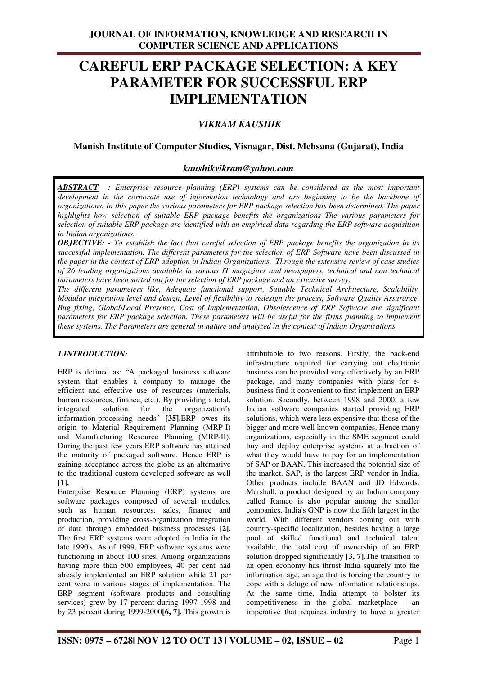# **CAREFUL ERP PACKAGE SELECTION: A KEY PARAMETER FOR SUCCESSFUL ERP IMPLEMENTATION**

# *VIKRAM KAUSHIK*

# **Manish Institute of Computer Studies, Visnagar, Dist. Mehsana (Gujarat), India**

# *kaushikvikram@yahoo.com*

*ABSTRACT : Enterprise resource planning (ERP) systems can be considered as the most important development in the corporate use of information technology and are beginning to be the backbone of organizations. In this paper the various parameters for ERP package selection has been determined. The paper highlights how selection of suitable ERP package benefits the organizations The various parameters for selection of suitable ERP package are identified with an empirical data regarding the ERP software acquisition in Indian organizations.* 

*OBJECTIVE: - To establish the fact that careful selection of ERP package benefits the organization in its successful implementation. The different parameters for the selection of ERP Software have been discussed in the paper in the context of ERP adoption in Indian Organizations. Through the extensive review of case studies of 26 leading organizations available in various IT magazines and newspapers, technical and non technical parameters have been sorted out for the selection of ERP package and an extensive survey.*

*The different parameters like, Adequate functional support, Suitable Technical Architecture, Scalability, Modular integration level and design, Level of flexibility to redesign the process, Software Quality Assurance, Bug fixing, Global\Local Presence, Cost of Implementation, Obsolescence of ERP Software are significant parameters for ERP package selection. These parameters will be useful for the firms planning to implement these systems. The Parameters are general in nature and analyzed in the context of Indian Organizations*

## *1.INTRODUCTION:*

ERP is defined as: "A packaged business software system that enables a company to manage the efficient and effective use of resources (materials, human resources, finance, etc.). By providing a total, integrated solution for the organization's information-processing needs" **[35].**ERP owes its origin to Material Requirement Planning (MRP-I) and Manufacturing Resource Planning (MRP-II). During the past few years ERP software has attained the maturity of packaged software. Hence ERP is gaining acceptance across the globe as an alternative to the traditional custom developed software as well **[1].**

Enterprise Resource Planning (ERP) systems are software packages composed of several modules, such as human resources, sales, finance and production, providing cross-organization integration of data through embedded business processes **[2].** The first ERP systems were adopted in India in the late 1990's. As of 1999, ERP software systems were functioning in about 100 sites. Among organizations having more than 500 employees, 40 per cent had already implemented an ERP solution while 21 per cent were in various stages of implementation. The ERP segment (software products and consulting services) grew by 17 percent during 1997-1998 and by 23 percent during 1999-2000**[6, 7].** This growth is attributable to two reasons. Firstly, the back-end infrastructure required for carrying out electronic business can be provided very effectively by an ERP package, and many companies with plans for ebusiness find it convenient to first implement an ERP solution. Secondly, between 1998 and 2000, a few Indian software companies started providing ERP solutions, which were less expensive that those of the bigger and more well known companies. Hence many organizations, especially in the SME segment could buy and deploy enterprise systems at a fraction of what they would have to pay for an implementation of SAP or BAAN. This increased the potential size of the market. SAP, is the largest ERP vendor in India. Other products include BAAN and JD Edwards. Marshall, a product designed by an Indian company called Ramco is also popular among the smaller companies. India's GNP is now the fifth largest in the world. With different vendors coming out with country-specific localization, besides having a large pool of skilled functional and technical talent available, the total cost of ownership of an ERP solution dropped significantly **[3, 7].**The transition to an open economy has thrust India squarely into the information age, an age that is forcing the country to cope with a deluge of new information relationships. At the same time, India attempt to bolster its competitiveness in the global marketplace - an imperative that requires industry to have a greater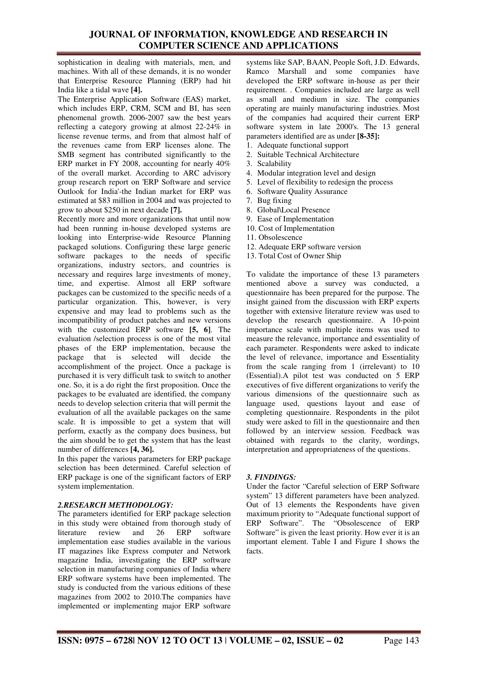sophistication in dealing with materials, men, and machines. With all of these demands, it is no wonder that Enterprise Resource Planning (ERP) had hit India like a tidal wave **[4].** 

The Enterprise Application Software (EAS) market, which includes ERP, CRM, SCM and BI, has seen phenomenal growth. 2006-2007 saw the best years reflecting a category growing at almost 22-24% in license revenue terms, and from that almost half of the revenues came from ERP licenses alone. The SMB segment has contributed significantly to the ERP market in FY 2008, accounting for nearly 40% of the overall market. According to ARC advisory group research report on 'ERP Software and service Outlook for India'-the Indian market for ERP was estimated at \$83 million in 2004 and was projected to grow to about \$250 in next decade **[7].**

Recently more and more organizations that until now had been running in-house developed systems are looking into Enterprise-wide Resource Planning packaged solutions. Configuring these large generic software packages to the needs of specific organizations, industry sectors, and countries is necessary and requires large investments of money, time, and expertise. Almost all ERP software packages can be customized to the specific needs of a particular organization. This, however, is very expensive and may lead to problems such as the incompatibility of product patches and new versions with the customized ERP software **[5, 6]**. The evaluation /selection process is one of the most vital phases of the ERP implementation, because the package that is selected will decide the accomplishment of the project. Once a package is purchased it is very difficult task to switch to another one. So, it is a do right the first proposition. Once the packages to be evaluated are identified, the company needs to develop selection criteria that will permit the evaluation of all the available packages on the same scale. It is impossible to get a system that will perform, exactly as the company does business, but the aim should be to get the system that has the least number of differences **[4, 36].** 

In this paper the various parameters for ERP package selection has been determined. Careful selection of ERP package is one of the significant factors of ERP system implementation.

## *2.RESEARCH METHODOLOGY:*

The parameters identified for ERP package selection in this study were obtained from thorough study of literature review and 26 ERP software implementation ease studies available in the various IT magazines like Express computer and Network magazine India, investigating the ERP software selection in manufacturing companies of India where ERP software systems have been implemented. The study is conducted from the various editions of these magazines from 2002 to 2010.The companies have implemented or implementing major ERP software systems like SAP, BAAN, People Soft, J.D. Edwards, Ramco Marshall and some companies have developed the ERP software in-house as per their requirement. . Companies included are large as well as small and medium in size. The companies operating are mainly manufacturing industries. Most of the companies had acquired their current ERP software system in late 2000's. The 13 general parameters identified are as under **[8-35]:**

- 1. Adequate functional support
- 2. Suitable Technical Architecture
- 3. Scalability
- 4. Modular integration level and design
- 5. Level of flexibility to redesign the process
- 6. Software Quality Assurance
- 7. Bug fixing
- 8. Global\Local Presence
- 9. Ease of Implementation
- 10. Cost of Implementation
- 11. Obsolescence
- 12. Adequate ERP software version
- 13. Total Cost of Owner Ship

To validate the importance of these 13 parameters mentioned above a survey was conducted, a questionnaire has been prepared for the purpose. The insight gained from the discussion with ERP experts together with extensive literature review was used to develop the research questionnaire. A 10-point importance scale with multiple items was used to measure the relevance, importance and essentiality of each parameter. Respondents were asked to indicate the level of relevance, importance and Essentiality from the scale ranging from 1 (irrelevant) to 10 (Essential).A pilot test was conducted on 5 ERP executives of five different organizations to verify the various dimensions of the questionnaire such as language used, questions layout and ease of completing questionnaire. Respondents in the pilot study were asked to fill in the questionnaire and then followed by an interview session. Feedback was obtained with regards to the clarity, wordings, interpretation and appropriateness of the questions.

## *3. FINDINGS:*

Under the factor "Careful selection of ERP Software system" 13 different parameters have been analyzed. Out of 13 elements the Respondents have given maximum priority to "Adequate functional support of ERP Software". The "Obsolescence of ERP Software" is given the least priority. How ever it is an important element. Table I and Figure I shows the facts.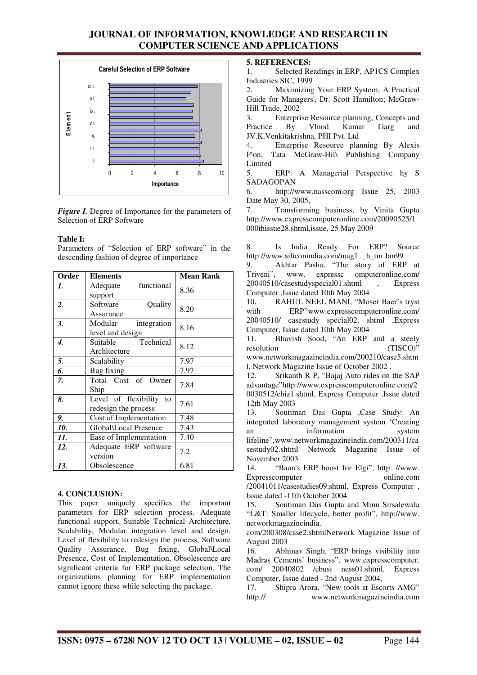

*Figure I.* Degree of Importance for the parameters of Selection of ERP Software

### **Table I:**

Parameters of "Selection of ERP software" in the descending fashion of degree of importance

| Order | <b>Elements</b>               | <b>Mean Rank</b> |
|-------|-------------------------------|------------------|
| 1.    | functional<br>Adequate        | 8.36             |
|       | support                       |                  |
| 2.    | Software<br>Quality           | 8.20             |
|       | Assurance                     |                  |
| 3.    | Modular<br>integration        | 8.16             |
|       | level and design              |                  |
| 4.    | Technical<br>Suitable         | 8.12             |
|       | Architecture                  |                  |
| 5.    | Scalability                   | 7.97             |
| 6.    | Bug fixing                    | 7.97             |
| 7.    | Total Cost of Owner           | 7.84             |
|       | Ship                          |                  |
| 8.    | Level of flexibility<br>to    | 7.61             |
|       | redesign the process          |                  |
| 9.    | Cost of Implementation        | 7.48             |
| 10.   | <b>Global</b> \Local Presence | 7.43             |
| 11.   | Ease of Implementation        | 7.40             |
| 12.   | Adequate ERP software         | 7.2              |
|       | version                       |                  |
| 13.   | Obsolescence                  | 6.81             |

### **4. CONCLUSION:**

This paper uniquely specifies the important parameters for ERP selection process. Adequate functional support, Suitable Technical Architecture, Scalability, Modular integration level and design, Level of flexibility to redesign the process, Software Quality Assurance, Bug fixing, Global\Local Presence, Cost of Implementation, Obsolescence are significant criteria for ERP package selection. The organizations planning for ERP implementation cannot ignore these while selecting the package.

### **5. REFERENCES:**

1. Selected Readings in ERP, AP1CS Complex Industries SIC, 1999

Maximizing Your ERP System; A Practical Guide for Managers', Dr. Scott Hamilton; McGraw-Hill Trade, 2002

3. Enterprise Resource planning, Concepts and<br>Practice By Vlnod Kumar Garg and Kumar JV.K.Venkitakrishna, PHI Pvt. Ltd

4. Enterprise Resource planning By Alexis I^on, Tata McGraw-Hil\ Publishing Company Limited

5. ERP: A Managerial Perspective hy S SADAGOPAN

6. http://www.nasscom.org Issue 25, 2003 Date May 30, 2005,

7. Transforming business, by Vinita Gupta http://www.expresscomputeronline.com/20090525/1 000thissue28.shtml,issue, 25 May 2009

8. Is India Ready For ERP? Source http://www.siliconindia.com/mag1 .\_h\_tm Jan99

9. Akhtar Pasha, "The story of ERP at Triveni", www. expressc omputeronline.com/ 20040510/casestudyspecial01.shtml , Express Computer ,Issue dated 10th May 2004

10. RAHUL NEEL MANI, "Moser Baer's tryst with ERP"www.expresscomputeronline.com/ 20040510/ casestudy special02. shtml ,Express Computer, Issue dated 10th May 2004

11. Bhavish Sood, "An ERP and a steely resolution (TISCO)" www.networkmagazineindia.com/200210/case5.shtm

l, Network Magazine Issue of October 2002 , 12. Srikanth R P, "Bajaj Auto rides on the SAP advantage"http://www.expresscomputeronline.com/2 0030512/ebiz1.shtml, Express Computer ,Issue dated 12th May 2003

13. Soutiman Das Gupta ,Case Study: An integrated laboratory management system 'Creating an information system lifeline",www.networkmagazineindia.com/200311/ca sestudy02.shtml Network Magazine Issue of November 2003

14. "Baan's ERP boost for Elgi", http: //www. Expresscomputer online.com /20041011/casestudies09.shtml, Express Computer ,

Issue dated -11th October 2004 15. Soutiman Das Gupta and Minu Sirsalewala "L&T: Smaller lifecycle, better profit", http://www.

networkmagazineindia. com/200308/case2.shtmlNetwork Magazine Issue of August 2003

16. Abhinav Singh, "ERP brings visibility into Madras Cements' business", www.expresscomputer. com/ 20040802 /ebusi ness01.shtml, Express Computer, Issue dated - 2nd August 2004,

17. Shipra Arora, "New tools at Escorts AMG" http:// www.networkmagazineindia.com